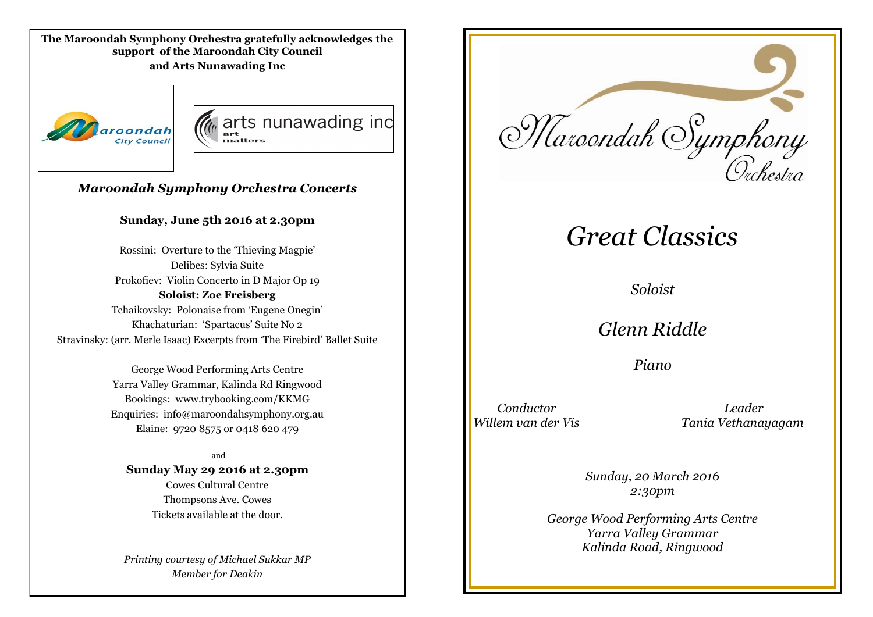**The Maroondah Symphony Orchestra gratefully acknowledges the support of the Maroondah City Council and Arts Nunawading Inc**





### *Maroondah Symphony Orchestra Concerts*

#### **Sunday, June 5th 2016 at 2.30pm**

Rossini: Overture to the 'Thieving Magpie' Delibes: Sylvia Suite Prokofiev: Violin Concerto in D Major Op 19 **Soloist: Zoe Freisberg** Tchaikovsky: Polonaise from 'Eugene Onegin' Khachaturian: 'Spartacus' Suite No 2 Stravinsky: (arr. Merle Isaac) Excerpts from 'The Firebird' Ballet Suite

> George Wood Performing Arts Centre Yarra Valley Grammar, Kalinda Rd Ringwood Bookings: www.trybooking.com/KKMG Enquiries: info@maroondahsymphony.org.au Elaine: 9720 8575 or 0418 620 479

and **Sunday May 29 2016 at 2.30pm** Cowes Cultural Centre Thompsons Ave. Cowes Tickets available at the door.

*Printing courtesy of Michael Sukkar MP Member for Deakin*



# *Great Classics*

*Soloist*

*Glenn Riddle*

*Piano*

 *Conductor Leader Willem van der Vis Tania Vethanayagam*

> *Sunday, 20 March 2016 2:30pm*

*George Wood Performing Arts Centre Yarra Valley Grammar Kalinda Road, Ringwood*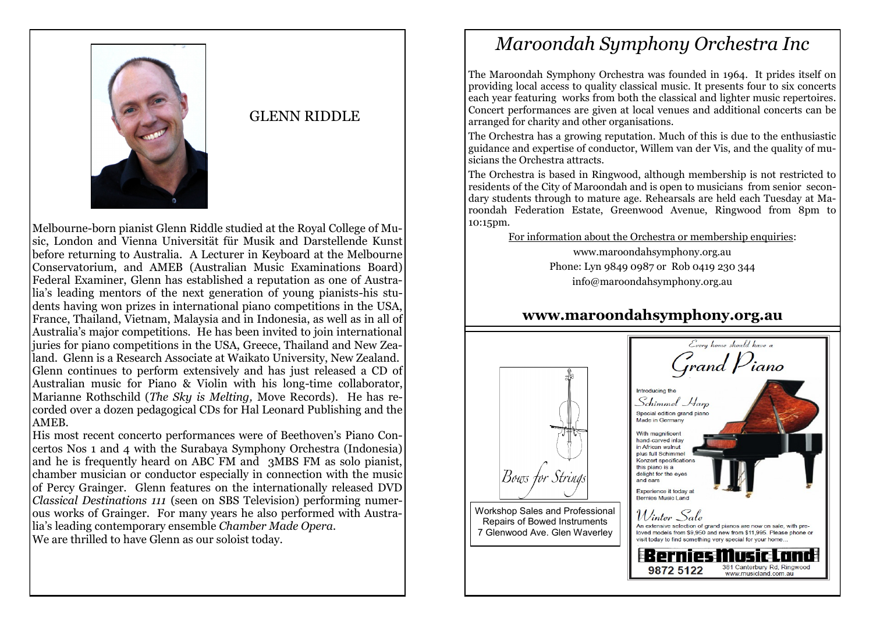

# GLENN RIDDLE

Melbourne-born pianist Glenn Riddle studied at the Royal College of Music, London and Vienna Universität für Musik and Darstellende Kunst before returning to Australia. A Lecturer in Keyboard at the Melbourne Conservatorium, and AMEB (Australian Music Examinations Board) Federal Examiner, Glenn has established a reputation as one of Australia's leading mentors of the next generation of young pianists-his students having won prizes in international piano competitions in the USA, France, Thailand, Vietnam, Malaysia and in Indonesia, as well as in all of Australia's major competitions. He has been invited to join international juries for piano competitions in the USA, Greece, Thailand and New Zealand. Glenn is a Research Associate at Waikato University, New Zealand. Glenn continues to perform extensively and has just released a CD of Australian music for Piano & Violin with his long-time collaborator, Marianne Rothschild (*The Sky is Melting,* Move Records). He has recorded over a dozen pedagogical CDs for Hal Leonard Publishing and the AMEB.

His most recent concerto performances were of Beethoven's Piano Concertos Nos 1 and 4 with the Surabaya Symphony Orchestra (Indonesia) and he is frequently heard on ABC FM and 3MBS FM as solo pianist, chamber musician or conductor especially in connection with the music of Percy Grainger. Glenn features on the internationally released DVD *Classical Destinations 111* (seen on SBS Television) performing numerous works of Grainger. For many years he also performed with Australia's leading contemporary ensemble *Chamber Made Opera.* We are thrilled to have Glenn as our soloist today.

# *Maroondah Symphony Orchestra Inc*

The Maroondah Symphony Orchestra was founded in 1964. It prides itself on providing local access to quality classical music. It presents four to six concerts each year featuring works from both the classical and lighter music repertoires. Concert performances are given at local venues and additional concerts can be arranged for charity and other organisations.

The Orchestra has a growing reputation. Much of this is due to the enthusiastic guidance and expertise of conductor, Willem van der Vis, and the quality of musicians the Orchestra attracts.

The Orchestra is based in Ringwood, although membership is not restricted to residents of the City of Maroondah and is open to musicians from senior secondary students through to mature age. Rehearsals are held each Tuesday at Maroondah Federation Estate, Greenwood Avenue, Ringwood from 8pm to 10:15pm.

For information about the Orchestra or membership enquiries:

www.maroondahsymphony.org.au Phone: Lyn 9849 0987 or Rob 0419 230 344 info@maroondahsymphony.org.au

# **www.maroondahsymphony.org.au**



7 Glenwood Ave. Glen Waverley

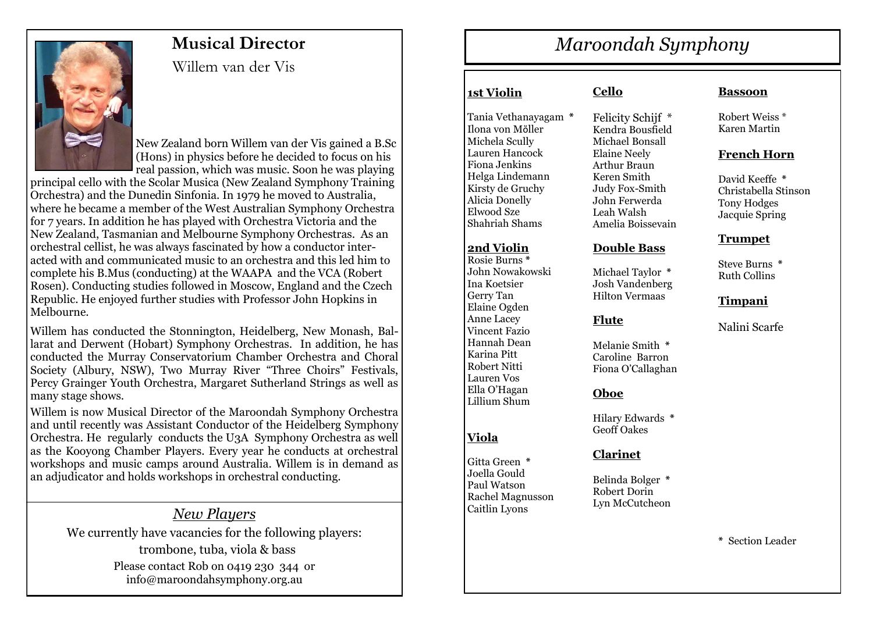

# **Musical Director**

Willem van der Vis

New Zealand born Willem van der Vis gained a B.Sc (Hons) in physics before he decided to focus on his real passion, which was music. Soon he was playing

principal cello with the Scolar Musica (New Zealand Symphony Training Orchestra) and the Dunedin Sinfonia. In 1979 he moved to Australia, where he became a member of the West Australian Symphony Orchestra for 7 years. In addition he has played with Orchestra Victoria and the New Zealand, Tasmanian and Melbourne Symphony Orchestras. As an orchestral cellist, he was always fascinated by how a conductor interacted with and communicated music to an orchestra and this led him to complete his B.Mus (conducting) at the WAAPA and the VCA (Robert Rosen). Conducting studies followed in Moscow, England and the Czech Republic. He enjoyed further studies with Professor John Hopkins in Melbourne.

Willem has conducted the Stonnington, Heidelberg, New Monash, Ballarat and Derwent (Hobart) Symphony Orchestras. In addition, he has conducted the Murray Conservatorium Chamber Orchestra and Choral Society (Albury, NSW), Two Murray River "Three Choirs" Festivals, Percy Grainger Youth Orchestra, Margaret Sutherland Strings as well as many stage shows.

Willem is now Musical Director of the Maroondah Symphony Orchestra and until recently was Assistant Conductor of the Heidelberg Symphony Orchestra. He regularly conducts the U3A Symphony Orchestra as well as the Kooyong Chamber Players. Every year he conducts at orchestral workshops and music camps around Australia. Willem is in demand as an adjudicator and holds workshops in orchestral conducting.

# *New Players*

We currently have vacancies for the following players: trombone, tuba, viola & bass Please contact Rob on 0419 230 344 or info@maroondahsymphony.org.au

# *Maroondah Symphony*

# **1st Violin**

Tania Vethanayagam **\*** Ilona von Mὅller Michela Scully Lauren Hancock Fiona Jenkins Helga Lindemann Kirsty de Gruchy Alicia Donelly Elwood Sze Shahriah Shams

#### **2nd Violin**

Rosie Burns **\*** John Nowakowski Ina Koetsier Gerry Tan Elaine Ogden Anne Lacey Vincent Fazio Hannah Dean Karina Pitt Robert Nitti Lauren Vos Ella O'Hagan Lillium Shum

# **Viola**

Gitta Green **\*** Joella Gould Paul Watson Rachel Magnusson Caitlin Lyons

#### **Cello**

Felicity Schijf \* Kendra Bousfield Michael Bonsall Elaine Neely Arthur Braun Keren Smith Judy Fox-Smith John Ferwerda Leah Walsh Amelia Boissevain

#### **Double Bass**

Michael Taylor **\*** Josh Vandenberg Hilton Vermaas

#### **Flute**

Melanie Smith **\*** Caroline Barron Fiona O'Callaghan

#### **Oboe**

Hilary Edwards **\*** Geoff Oakes

#### **Clarinet**

Belinda Bolger **\*** Robert Dorin Lyn McCutcheon

#### **Bassoon**

Robert Weiss \* Karen Martin

#### **French Horn**

David Keeffe **\*** Christabella Stinson Tony Hodges Jacquie Spring

#### **Trumpet**

Steve Burns **\*** Ruth Collins

#### **Timpani**

Nalini Scarfe

**\*** Section Leader